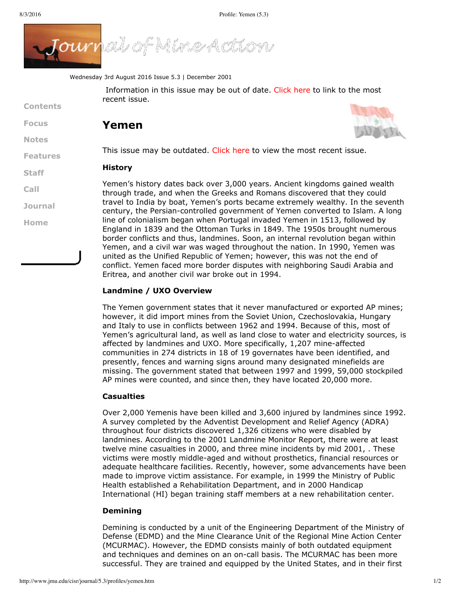**[Contents](http://www.jmu.edu/cisr/journal/5.3/index.htm)**

**[Focus](http://www.jmu.edu/cisr/journal/5.3/index.htm#focus)**

**[Notes](http://www.jmu.edu/cisr/journal/5.3/index.htm#notes)**

**[Staff](http://www.jmu.edu/cisr/staff/index.shtml)**

**[Call](http://www.jmu.edu/cisr/journal/cfps.shtml)**

**[Journal](http://www.jmu.edu/cisr/journal/past-issues.shtml)**

**[Home](http://www.jmu.edu/cisr)**

**[Features](http://www.jmu.edu/cisr/journal/5.3/index.htm#feature)**



Wednesday 3rd August 2016 Issue 5.3 | December 2001

Information in this issue may be out of date. [Click](http://www.jmu.edu/cisr/journal/5.3/profiles/cisr/journal/current.shtml) here to link to the most recent issue.

# **Yemen**



This issue may be outdated. [Click](http://www.jmu.edu/cisr/journal/current.shtml) here to view the most recent issue.

#### **History**

Yemen's history dates back over 3,000 years. Ancient kingdoms gained wealth through trade, and when the Greeks and Romans discovered that they could travel to India by boat, Yemen's ports became extremely wealthy. In the seventh century, the Persian-controlled government of Yemen converted to Islam. A long line of colonialism began when Portugal invaded Yemen in 1513, followed by England in 1839 and the Ottoman Turks in 1849. The 1950s brought numerous border conflicts and thus, landmines. Soon, an internal revolution began within Yemen, and a civil war was waged throughout the nation. In 1990, Yemen was united as the Unified Republic of Yemen; however, this was not the end of conflict. Yemen faced more border disputes with neighboring Saudi Arabia and Eritrea, and another civil war broke out in 1994.

#### **Landmine / UXO Overview**

The Yemen government states that it never manufactured or exported AP mines; however, it did import mines from the Soviet Union, Czechoslovakia, Hungary and Italy to use in conflicts between 1962 and 1994. Because of this, most of Yemen's agricultural land, as well as land close to water and electricity sources, is affected by landmines and UXO. More specifically, 1,207 mine-affected communities in 274 districts in 18 of 19 governates have been identified, and presently, fences and warning signs around many designated minefields are missing. The government stated that between 1997 and 1999, 59,000 stockpiled AP mines were counted, and since then, they have located 20,000 more.

#### **Casualties**

Over 2,000 Yemenis have been killed and 3,600 injured by landmines since 1992. A survey completed by the Adventist Development and Relief Agency (ADRA) throughout four districts discovered 1,326 citizens who were disabled by landmines. According to the 2001 Landmine Monitor Report, there were at least twelve mine casualties in 2000, and three mine incidents by mid 2001, . These victims were mostly middle-aged and without prosthetics, financial resources or adequate healthcare facilities. Recently, however, some advancements have been made to improve victim assistance. For example, in 1999 the Ministry of Public Health established a Rehabilitation Department, and in 2000 Handicap International (HI) began training staff members at a new rehabilitation center.

#### **Demining**

Demining is conducted by a unit of the Engineering Department of the Ministry of Defense (EDMD) and the Mine Clearance Unit of the Regional Mine Action Center (MCURMAC). However, the EDMD consists mainly of both outdated equipment and techniques and demines on an on-call basis. The MCURMAC has been more successful. They are trained and equipped by the United States, and in their first